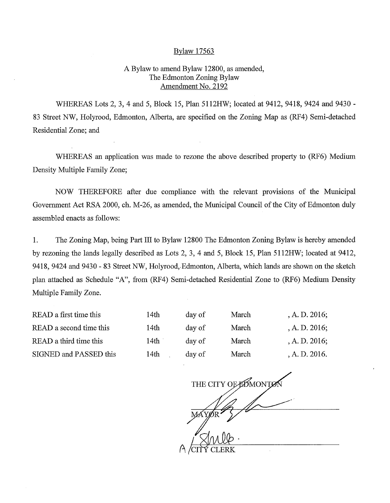## Bylaw 17563

## A Bylaw to amend Bylaw 12800, as amended, The Edmonton Zoning Bylaw Amendment No. 2192

WHEREAS Lots 2, 3, 4 and 5, Block 15, Plan 5112HW; located at 9412, 9418, 9424 and 9430 - 83 Street NW, Holyrood, Edmonton, Alberta, are specified on the Zoning Map as (RF4) Semi-detached Residential Zone; and

WHEREAS an application was made to rezone the above described property to (RF6) Medium Density Multiple Family Zone;

NOW THEREFORE after due compliance with the relevant provisions of the Municipal Government Act RSA 2000, ch. M-26, as amended, the Municipal Council of the City of Edmonton duly assembled enacts as follows:

1. The Zoning Map, being Part III to Bylaw 12800 The Edmonton Zoning Bylaw is hereby amended by rezoning the lands legally described as Lots 2, 3, 4 and 5, Block 15, Plan 5112HW; located at 9412, 9418, 9424 and 9430 - 83 Street NW, Holyrood, Edmonton, Alberta, which lands are shown on the sketch plan attached as Schedule "A", from (RF4) Semi-detached Residential Zone to (RF6) Medium Density Multiple Family Zone.

| READ a first time this  | 14th | day of | March | , A. D. $2016$ ; |
|-------------------------|------|--------|-------|------------------|
| READ a second time this | 14th | day of | March | A. D. 2016;      |
| READ a third time this  | 14th | day of | March | A. D. 2016;      |
| SIGNED and PASSED this  | 14th | day of | March | A. D. 2016.      |

THE CITY OF POMONTON **I**<br>Smile<br>IY CLERK CITY CLERK